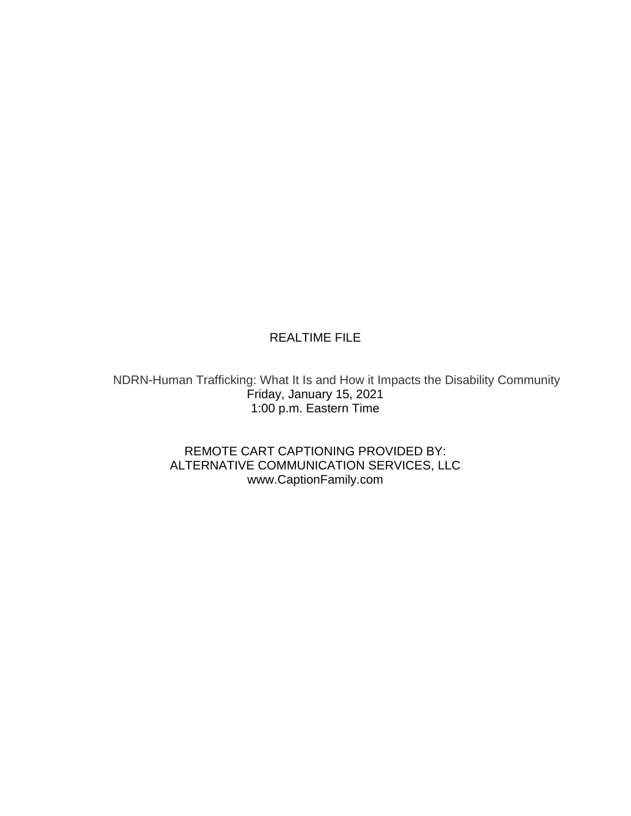## REALTIME FILE

NDRN-Human Trafficking: What It Is and How it Impacts the Disability Community Friday, January 15, 2021 1:00 p.m. Eastern Time

> REMOTE CART CAPTIONING PROVIDED BY: ALTERNATIVE COMMUNICATION SERVICES, LLC www.CaptionFamily.com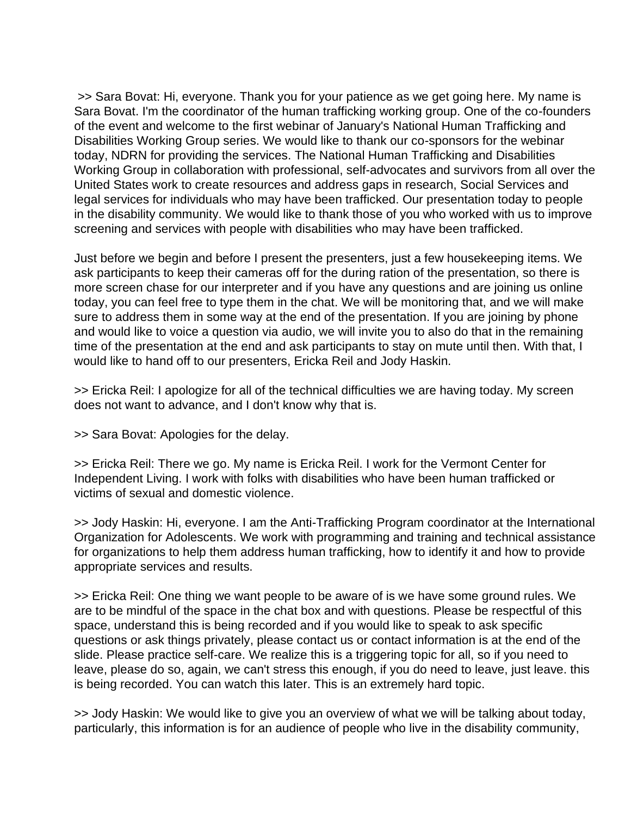>> Sara Bovat: Hi, everyone. Thank you for your patience as we get going here. My name is Sara Bovat. I'm the coordinator of the human trafficking working group. One of the co-founders of the event and welcome to the first webinar of January's National Human Trafficking and Disabilities Working Group series. We would like to thank our co-sponsors for the webinar today, NDRN for providing the services. The National Human Trafficking and Disabilities Working Group in collaboration with professional, self-advocates and survivors from all over the United States work to create resources and address gaps in research, Social Services and legal services for individuals who may have been trafficked. Our presentation today to people in the disability community. We would like to thank those of you who worked with us to improve screening and services with people with disabilities who may have been trafficked.

Just before we begin and before I present the presenters, just a few housekeeping items. We ask participants to keep their cameras off for the during ration of the presentation, so there is more screen chase for our interpreter and if you have any questions and are joining us online today, you can feel free to type them in the chat. We will be monitoring that, and we will make sure to address them in some way at the end of the presentation. If you are joining by phone and would like to voice a question via audio, we will invite you to also do that in the remaining time of the presentation at the end and ask participants to stay on mute until then. With that, I would like to hand off to our presenters, Ericka Reil and Jody Haskin.

>> Ericka Reil: I apologize for all of the technical difficulties we are having today. My screen does not want to advance, and I don't know why that is.

>> Sara Bovat: Apologies for the delay.

>> Ericka Reil: There we go. My name is Ericka Reil. I work for the Vermont Center for Independent Living. I work with folks with disabilities who have been human trafficked or victims of sexual and domestic violence.

>> Jody Haskin: Hi, everyone. I am the Anti-Trafficking Program coordinator at the International Organization for Adolescents. We work with programming and training and technical assistance for organizations to help them address human trafficking, how to identify it and how to provide appropriate services and results.

>> Ericka Reil: One thing we want people to be aware of is we have some ground rules. We are to be mindful of the space in the chat box and with questions. Please be respectful of this space, understand this is being recorded and if you would like to speak to ask specific questions or ask things privately, please contact us or contact information is at the end of the slide. Please practice self-care. We realize this is a triggering topic for all, so if you need to leave, please do so, again, we can't stress this enough, if you do need to leave, just leave. this is being recorded. You can watch this later. This is an extremely hard topic.

>> Jody Haskin: We would like to give you an overview of what we will be talking about today, particularly, this information is for an audience of people who live in the disability community,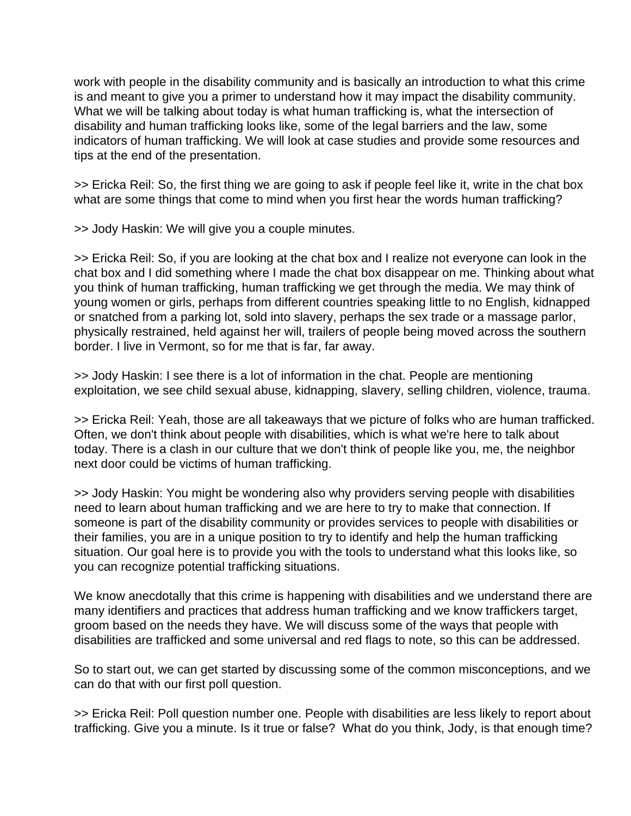work with people in the disability community and is basically an introduction to what this crime is and meant to give you a primer to understand how it may impact the disability community. What we will be talking about today is what human trafficking is, what the intersection of disability and human trafficking looks like, some of the legal barriers and the law, some indicators of human trafficking. We will look at case studies and provide some resources and tips at the end of the presentation.

>> Ericka Reil: So, the first thing we are going to ask if people feel like it, write in the chat box what are some things that come to mind when you first hear the words human trafficking?

>> Jody Haskin: We will give you a couple minutes.

>> Ericka Reil: So, if you are looking at the chat box and I realize not everyone can look in the chat box and I did something where I made the chat box disappear on me. Thinking about what you think of human trafficking, human trafficking we get through the media. We may think of young women or girls, perhaps from different countries speaking little to no English, kidnapped or snatched from a parking lot, sold into slavery, perhaps the sex trade or a massage parlor, physically restrained, held against her will, trailers of people being moved across the southern border. I live in Vermont, so for me that is far, far away.

>> Jody Haskin: I see there is a lot of information in the chat. People are mentioning exploitation, we see child sexual abuse, kidnapping, slavery, selling children, violence, trauma.

>> Ericka Reil: Yeah, those are all takeaways that we picture of folks who are human trafficked. Often, we don't think about people with disabilities, which is what we're here to talk about today. There is a clash in our culture that we don't think of people like you, me, the neighbor next door could be victims of human trafficking.

>> Jody Haskin: You might be wondering also why providers serving people with disabilities need to learn about human trafficking and we are here to try to make that connection. If someone is part of the disability community or provides services to people with disabilities or their families, you are in a unique position to try to identify and help the human trafficking situation. Our goal here is to provide you with the tools to understand what this looks like, so you can recognize potential trafficking situations.

We know anecdotally that this crime is happening with disabilities and we understand there are many identifiers and practices that address human trafficking and we know traffickers target, groom based on the needs they have. We will discuss some of the ways that people with disabilities are trafficked and some universal and red flags to note, so this can be addressed.

So to start out, we can get started by discussing some of the common misconceptions, and we can do that with our first poll question.

>> Ericka Reil: Poll question number one. People with disabilities are less likely to report about trafficking. Give you a minute. Is it true or false? What do you think, Jody, is that enough time?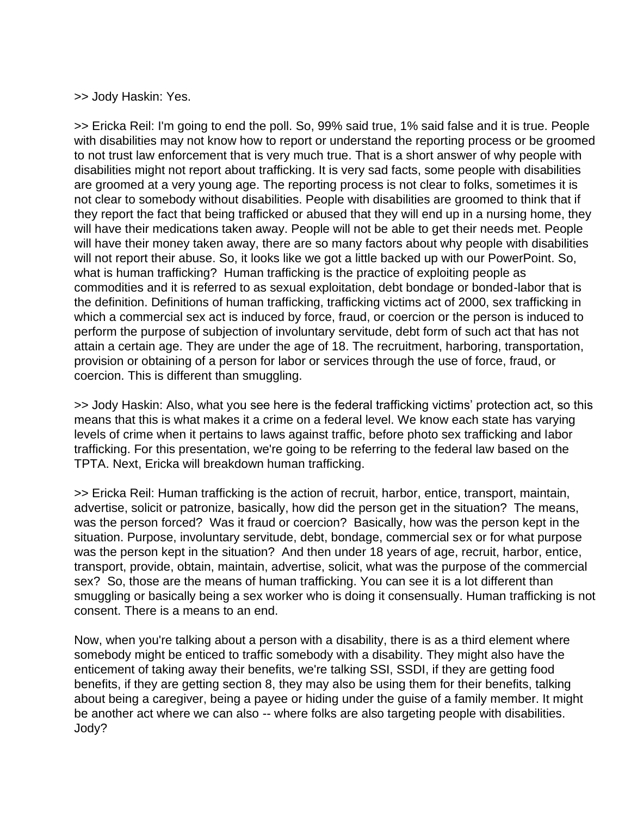>> Jody Haskin: Yes.

>> Ericka Reil: I'm going to end the poll. So, 99% said true, 1% said false and it is true. People with disabilities may not know how to report or understand the reporting process or be groomed to not trust law enforcement that is very much true. That is a short answer of why people with disabilities might not report about trafficking. It is very sad facts, some people with disabilities are groomed at a very young age. The reporting process is not clear to folks, sometimes it is not clear to somebody without disabilities. People with disabilities are groomed to think that if they report the fact that being trafficked or abused that they will end up in a nursing home, they will have their medications taken away. People will not be able to get their needs met. People will have their money taken away, there are so many factors about why people with disabilities will not report their abuse. So, it looks like we got a little backed up with our PowerPoint. So, what is human trafficking? Human trafficking is the practice of exploiting people as commodities and it is referred to as sexual exploitation, debt bondage or bonded-labor that is the definition. Definitions of human trafficking, trafficking victims act of 2000, sex trafficking in which a commercial sex act is induced by force, fraud, or coercion or the person is induced to perform the purpose of subjection of involuntary servitude, debt form of such act that has not attain a certain age. They are under the age of 18. The recruitment, harboring, transportation, provision or obtaining of a person for labor or services through the use of force, fraud, or coercion. This is different than smuggling.

>> Jody Haskin: Also, what you see here is the federal trafficking victims' protection act, so this means that this is what makes it a crime on a federal level. We know each state has varying levels of crime when it pertains to laws against traffic, before photo sex trafficking and labor trafficking. For this presentation, we're going to be referring to the federal law based on the TPTA. Next, Ericka will breakdown human trafficking.

>> Ericka Reil: Human trafficking is the action of recruit, harbor, entice, transport, maintain, advertise, solicit or patronize, basically, how did the person get in the situation? The means, was the person forced? Was it fraud or coercion? Basically, how was the person kept in the situation. Purpose, involuntary servitude, debt, bondage, commercial sex or for what purpose was the person kept in the situation? And then under 18 years of age, recruit, harbor, entice, transport, provide, obtain, maintain, advertise, solicit, what was the purpose of the commercial sex? So, those are the means of human trafficking. You can see it is a lot different than smuggling or basically being a sex worker who is doing it consensually. Human trafficking is not consent. There is a means to an end.

Now, when you're talking about a person with a disability, there is as a third element where somebody might be enticed to traffic somebody with a disability. They might also have the enticement of taking away their benefits, we're talking SSI, SSDI, if they are getting food benefits, if they are getting section 8, they may also be using them for their benefits, talking about being a caregiver, being a payee or hiding under the guise of a family member. It might be another act where we can also -- where folks are also targeting people with disabilities. Jody?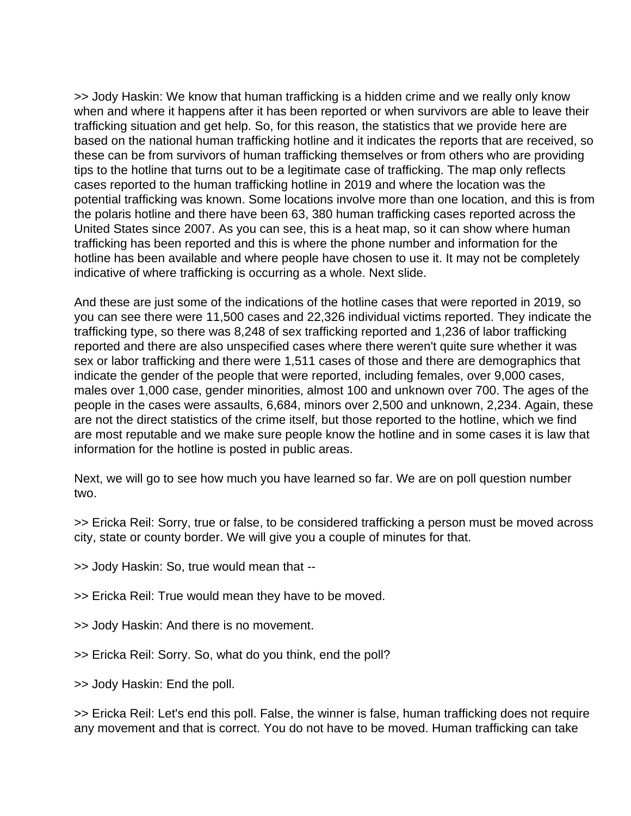>> Jody Haskin: We know that human trafficking is a hidden crime and we really only know when and where it happens after it has been reported or when survivors are able to leave their trafficking situation and get help. So, for this reason, the statistics that we provide here are based on the national human trafficking hotline and it indicates the reports that are received, so these can be from survivors of human trafficking themselves or from others who are providing tips to the hotline that turns out to be a legitimate case of trafficking. The map only reflects cases reported to the human trafficking hotline in 2019 and where the location was the potential trafficking was known. Some locations involve more than one location, and this is from the polaris hotline and there have been 63, 380 human trafficking cases reported across the United States since 2007. As you can see, this is a heat map, so it can show where human trafficking has been reported and this is where the phone number and information for the hotline has been available and where people have chosen to use it. It may not be completely indicative of where trafficking is occurring as a whole. Next slide.

And these are just some of the indications of the hotline cases that were reported in 2019, so you can see there were 11,500 cases and 22,326 individual victims reported. They indicate the trafficking type, so there was 8,248 of sex trafficking reported and 1,236 of labor trafficking reported and there are also unspecified cases where there weren't quite sure whether it was sex or labor trafficking and there were 1,511 cases of those and there are demographics that indicate the gender of the people that were reported, including females, over 9,000 cases, males over 1,000 case, gender minorities, almost 100 and unknown over 700. The ages of the people in the cases were assaults, 6,684, minors over 2,500 and unknown, 2,234. Again, these are not the direct statistics of the crime itself, but those reported to the hotline, which we find are most reputable and we make sure people know the hotline and in some cases it is law that information for the hotline is posted in public areas.

Next, we will go to see how much you have learned so far. We are on poll question number two.

>> Ericka Reil: Sorry, true or false, to be considered trafficking a person must be moved across city, state or county border. We will give you a couple of minutes for that.

>> Jody Haskin: So, true would mean that --

>> Ericka Reil: True would mean they have to be moved.

>> Jody Haskin: And there is no movement.

>> Ericka Reil: Sorry. So, what do you think, end the poll?

>> Jody Haskin: End the poll.

>> Ericka Reil: Let's end this poll. False, the winner is false, human trafficking does not require any movement and that is correct. You do not have to be moved. Human trafficking can take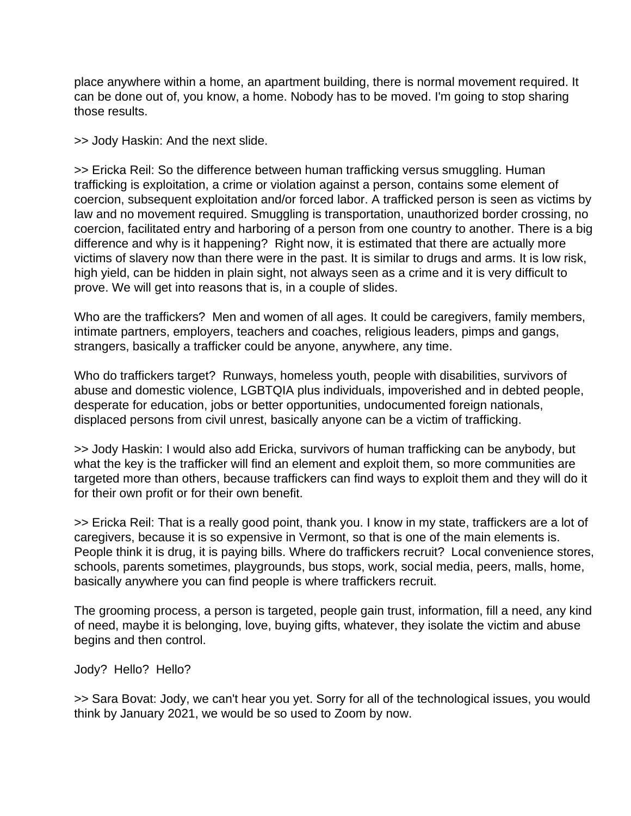place anywhere within a home, an apartment building, there is normal movement required. It can be done out of, you know, a home. Nobody has to be moved. I'm going to stop sharing those results.

>> Jody Haskin: And the next slide.

>> Ericka Reil: So the difference between human trafficking versus smuggling. Human trafficking is exploitation, a crime or violation against a person, contains some element of coercion, subsequent exploitation and/or forced labor. A trafficked person is seen as victims by law and no movement required. Smuggling is transportation, unauthorized border crossing, no coercion, facilitated entry and harboring of a person from one country to another. There is a big difference and why is it happening? Right now, it is estimated that there are actually more victims of slavery now than there were in the past. It is similar to drugs and arms. It is low risk, high yield, can be hidden in plain sight, not always seen as a crime and it is very difficult to prove. We will get into reasons that is, in a couple of slides.

Who are the traffickers? Men and women of all ages. It could be caregivers, family members, intimate partners, employers, teachers and coaches, religious leaders, pimps and gangs, strangers, basically a trafficker could be anyone, anywhere, any time.

Who do traffickers target? Runways, homeless youth, people with disabilities, survivors of abuse and domestic violence, LGBTQIA plus individuals, impoverished and in debted people, desperate for education, jobs or better opportunities, undocumented foreign nationals, displaced persons from civil unrest, basically anyone can be a victim of trafficking.

>> Jody Haskin: I would also add Ericka, survivors of human trafficking can be anybody, but what the key is the trafficker will find an element and exploit them, so more communities are targeted more than others, because traffickers can find ways to exploit them and they will do it for their own profit or for their own benefit.

>> Ericka Reil: That is a really good point, thank you. I know in my state, traffickers are a lot of caregivers, because it is so expensive in Vermont, so that is one of the main elements is. People think it is drug, it is paying bills. Where do traffickers recruit? Local convenience stores, schools, parents sometimes, playgrounds, bus stops, work, social media, peers, malls, home, basically anywhere you can find people is where traffickers recruit.

The grooming process, a person is targeted, people gain trust, information, fill a need, any kind of need, maybe it is belonging, love, buying gifts, whatever, they isolate the victim and abuse begins and then control.

Jody? Hello? Hello?

>> Sara Bovat: Jody, we can't hear you yet. Sorry for all of the technological issues, you would think by January 2021, we would be so used to Zoom by now.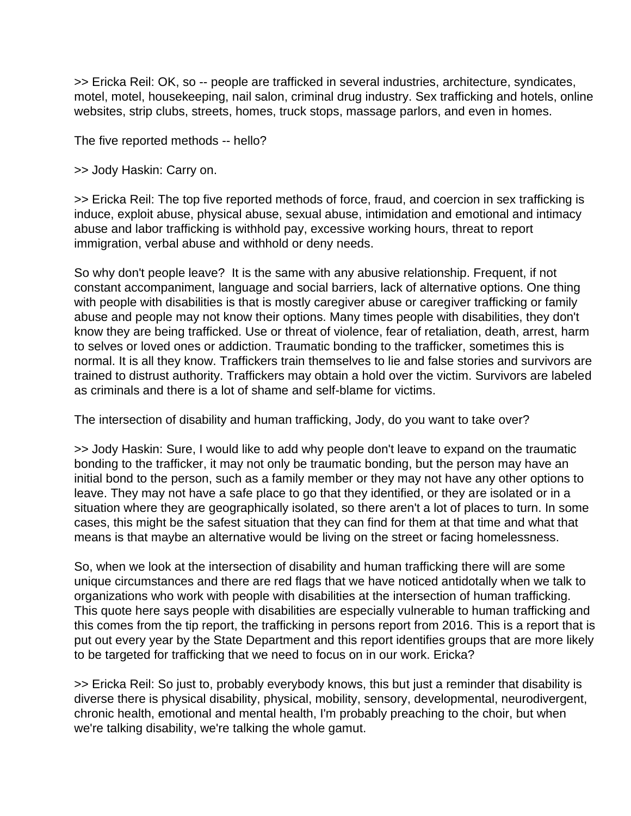>> Ericka Reil: OK, so -- people are trafficked in several industries, architecture, syndicates, motel, motel, housekeeping, nail salon, criminal drug industry. Sex trafficking and hotels, online websites, strip clubs, streets, homes, truck stops, massage parlors, and even in homes.

The five reported methods -- hello?

>> Jody Haskin: Carry on.

>> Ericka Reil: The top five reported methods of force, fraud, and coercion in sex trafficking is induce, exploit abuse, physical abuse, sexual abuse, intimidation and emotional and intimacy abuse and labor trafficking is withhold pay, excessive working hours, threat to report immigration, verbal abuse and withhold or deny needs.

So why don't people leave? It is the same with any abusive relationship. Frequent, if not constant accompaniment, language and social barriers, lack of alternative options. One thing with people with disabilities is that is mostly caregiver abuse or caregiver trafficking or family abuse and people may not know their options. Many times people with disabilities, they don't know they are being trafficked. Use or threat of violence, fear of retaliation, death, arrest, harm to selves or loved ones or addiction. Traumatic bonding to the trafficker, sometimes this is normal. It is all they know. Traffickers train themselves to lie and false stories and survivors are trained to distrust authority. Traffickers may obtain a hold over the victim. Survivors are labeled as criminals and there is a lot of shame and self-blame for victims.

The intersection of disability and human trafficking, Jody, do you want to take over?

>> Jody Haskin: Sure, I would like to add why people don't leave to expand on the traumatic bonding to the trafficker, it may not only be traumatic bonding, but the person may have an initial bond to the person, such as a family member or they may not have any other options to leave. They may not have a safe place to go that they identified, or they are isolated or in a situation where they are geographically isolated, so there aren't a lot of places to turn. In some cases, this might be the safest situation that they can find for them at that time and what that means is that maybe an alternative would be living on the street or facing homelessness.

So, when we look at the intersection of disability and human trafficking there will are some unique circumstances and there are red flags that we have noticed antidotally when we talk to organizations who work with people with disabilities at the intersection of human trafficking. This quote here says people with disabilities are especially vulnerable to human trafficking and this comes from the tip report, the trafficking in persons report from 2016. This is a report that is put out every year by the State Department and this report identifies groups that are more likely to be targeted for trafficking that we need to focus on in our work. Ericka?

>> Ericka Reil: So just to, probably everybody knows, this but just a reminder that disability is diverse there is physical disability, physical, mobility, sensory, developmental, neurodivergent, chronic health, emotional and mental health, I'm probably preaching to the choir, but when we're talking disability, we're talking the whole gamut.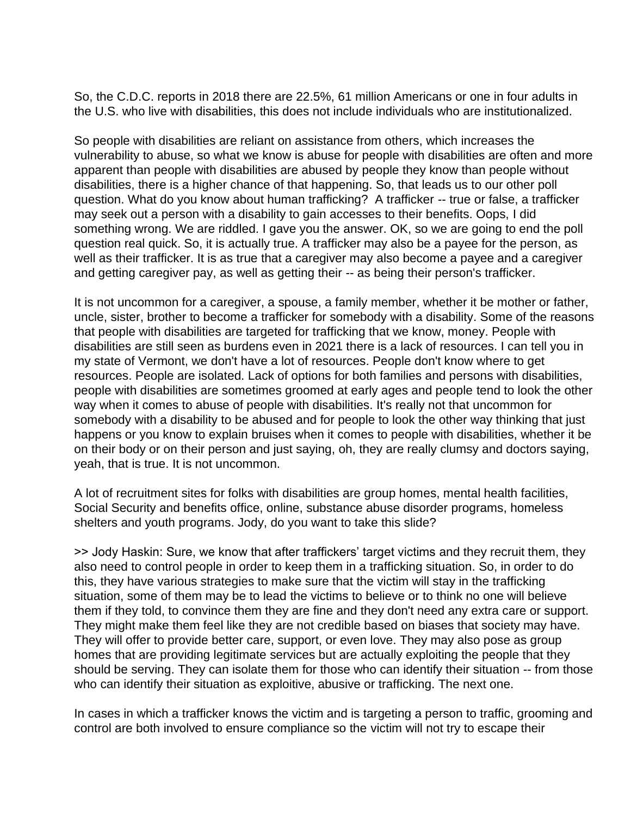So, the C.D.C. reports in 2018 there are 22.5%, 61 million Americans or one in four adults in the U.S. who live with disabilities, this does not include individuals who are institutionalized.

So people with disabilities are reliant on assistance from others, which increases the vulnerability to abuse, so what we know is abuse for people with disabilities are often and more apparent than people with disabilities are abused by people they know than people without disabilities, there is a higher chance of that happening. So, that leads us to our other poll question. What do you know about human trafficking? A trafficker -- true or false, a trafficker may seek out a person with a disability to gain accesses to their benefits. Oops, I did something wrong. We are riddled. I gave you the answer. OK, so we are going to end the poll question real quick. So, it is actually true. A trafficker may also be a payee for the person, as well as their trafficker. It is as true that a caregiver may also become a payee and a caregiver and getting caregiver pay, as well as getting their -- as being their person's trafficker.

It is not uncommon for a caregiver, a spouse, a family member, whether it be mother or father, uncle, sister, brother to become a trafficker for somebody with a disability. Some of the reasons that people with disabilities are targeted for trafficking that we know, money. People with disabilities are still seen as burdens even in 2021 there is a lack of resources. I can tell you in my state of Vermont, we don't have a lot of resources. People don't know where to get resources. People are isolated. Lack of options for both families and persons with disabilities, people with disabilities are sometimes groomed at early ages and people tend to look the other way when it comes to abuse of people with disabilities. It's really not that uncommon for somebody with a disability to be abused and for people to look the other way thinking that just happens or you know to explain bruises when it comes to people with disabilities, whether it be on their body or on their person and just saying, oh, they are really clumsy and doctors saying, yeah, that is true. It is not uncommon.

A lot of recruitment sites for folks with disabilities are group homes, mental health facilities, Social Security and benefits office, online, substance abuse disorder programs, homeless shelters and youth programs. Jody, do you want to take this slide?

>> Jody Haskin: Sure, we know that after traffickers' target victims and they recruit them, they also need to control people in order to keep them in a trafficking situation. So, in order to do this, they have various strategies to make sure that the victim will stay in the trafficking situation, some of them may be to lead the victims to believe or to think no one will believe them if they told, to convince them they are fine and they don't need any extra care or support. They might make them feel like they are not credible based on biases that society may have. They will offer to provide better care, support, or even love. They may also pose as group homes that are providing legitimate services but are actually exploiting the people that they should be serving. They can isolate them for those who can identify their situation -- from those who can identify their situation as exploitive, abusive or trafficking. The next one.

In cases in which a trafficker knows the victim and is targeting a person to traffic, grooming and control are both involved to ensure compliance so the victim will not try to escape their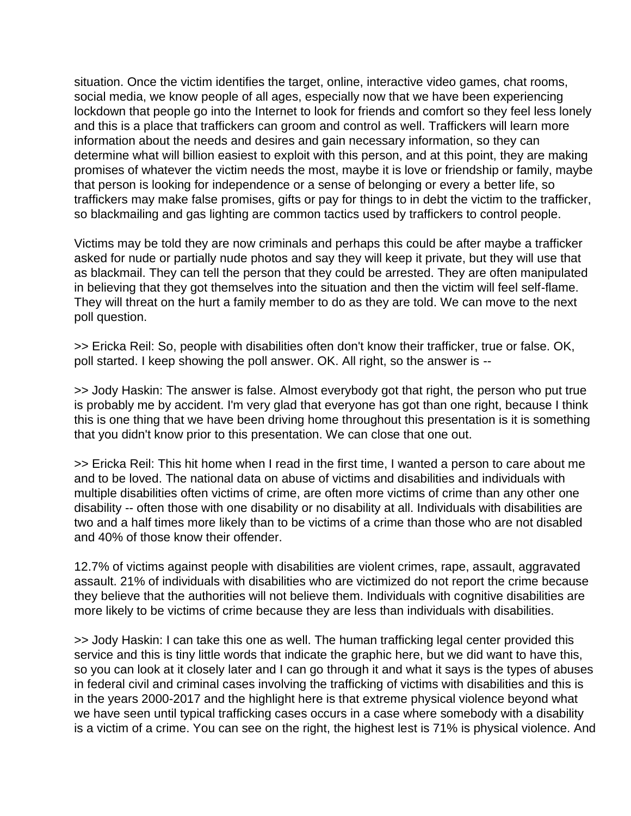situation. Once the victim identifies the target, online, interactive video games, chat rooms, social media, we know people of all ages, especially now that we have been experiencing lockdown that people go into the Internet to look for friends and comfort so they feel less lonely and this is a place that traffickers can groom and control as well. Traffickers will learn more information about the needs and desires and gain necessary information, so they can determine what will billion easiest to exploit with this person, and at this point, they are making promises of whatever the victim needs the most, maybe it is love or friendship or family, maybe that person is looking for independence or a sense of belonging or every a better life, so traffickers may make false promises, gifts or pay for things to in debt the victim to the trafficker, so blackmailing and gas lighting are common tactics used by traffickers to control people.

Victims may be told they are now criminals and perhaps this could be after maybe a trafficker asked for nude or partially nude photos and say they will keep it private, but they will use that as blackmail. They can tell the person that they could be arrested. They are often manipulated in believing that they got themselves into the situation and then the victim will feel self-flame. They will threat on the hurt a family member to do as they are told. We can move to the next poll question.

>> Ericka Reil: So, people with disabilities often don't know their trafficker, true or false. OK, poll started. I keep showing the poll answer. OK. All right, so the answer is --

>> Jody Haskin: The answer is false. Almost everybody got that right, the person who put true is probably me by accident. I'm very glad that everyone has got than one right, because I think this is one thing that we have been driving home throughout this presentation is it is something that you didn't know prior to this presentation. We can close that one out.

>> Ericka Reil: This hit home when I read in the first time, I wanted a person to care about me and to be loved. The national data on abuse of victims and disabilities and individuals with multiple disabilities often victims of crime, are often more victims of crime than any other one disability -- often those with one disability or no disability at all. Individuals with disabilities are two and a half times more likely than to be victims of a crime than those who are not disabled and 40% of those know their offender.

12.7% of victims against people with disabilities are violent crimes, rape, assault, aggravated assault. 21% of individuals with disabilities who are victimized do not report the crime because they believe that the authorities will not believe them. Individuals with cognitive disabilities are more likely to be victims of crime because they are less than individuals with disabilities.

>> Jody Haskin: I can take this one as well. The human trafficking legal center provided this service and this is tiny little words that indicate the graphic here, but we did want to have this, so you can look at it closely later and I can go through it and what it says is the types of abuses in federal civil and criminal cases involving the trafficking of victims with disabilities and this is in the years 2000-2017 and the highlight here is that extreme physical violence beyond what we have seen until typical trafficking cases occurs in a case where somebody with a disability is a victim of a crime. You can see on the right, the highest lest is 71% is physical violence. And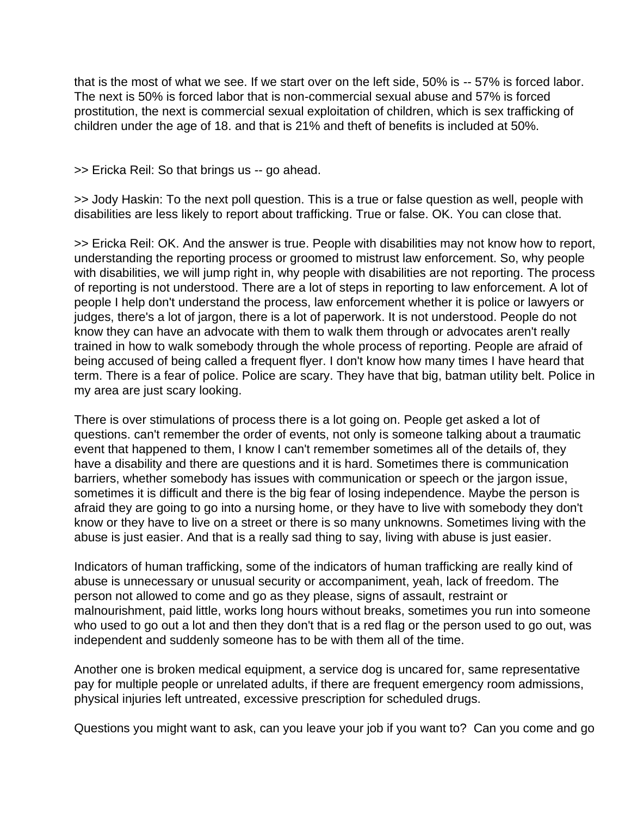that is the most of what we see. If we start over on the left side, 50% is -- 57% is forced labor. The next is 50% is forced labor that is non-commercial sexual abuse and 57% is forced prostitution, the next is commercial sexual exploitation of children, which is sex trafficking of children under the age of 18. and that is 21% and theft of benefits is included at 50%.

>> Ericka Reil: So that brings us -- go ahead.

>> Jody Haskin: To the next poll question. This is a true or false question as well, people with disabilities are less likely to report about trafficking. True or false. OK. You can close that.

>> Ericka Reil: OK. And the answer is true. People with disabilities may not know how to report, understanding the reporting process or groomed to mistrust law enforcement. So, why people with disabilities, we will jump right in, why people with disabilities are not reporting. The process of reporting is not understood. There are a lot of steps in reporting to law enforcement. A lot of people I help don't understand the process, law enforcement whether it is police or lawyers or judges, there's a lot of jargon, there is a lot of paperwork. It is not understood. People do not know they can have an advocate with them to walk them through or advocates aren't really trained in how to walk somebody through the whole process of reporting. People are afraid of being accused of being called a frequent flyer. I don't know how many times I have heard that term. There is a fear of police. Police are scary. They have that big, batman utility belt. Police in my area are just scary looking.

There is over stimulations of process there is a lot going on. People get asked a lot of questions. can't remember the order of events, not only is someone talking about a traumatic event that happened to them, I know I can't remember sometimes all of the details of, they have a disability and there are questions and it is hard. Sometimes there is communication barriers, whether somebody has issues with communication or speech or the jargon issue, sometimes it is difficult and there is the big fear of losing independence. Maybe the person is afraid they are going to go into a nursing home, or they have to live with somebody they don't know or they have to live on a street or there is so many unknowns. Sometimes living with the abuse is just easier. And that is a really sad thing to say, living with abuse is just easier.

Indicators of human trafficking, some of the indicators of human trafficking are really kind of abuse is unnecessary or unusual security or accompaniment, yeah, lack of freedom. The person not allowed to come and go as they please, signs of assault, restraint or malnourishment, paid little, works long hours without breaks, sometimes you run into someone who used to go out a lot and then they don't that is a red flag or the person used to go out, was independent and suddenly someone has to be with them all of the time.

Another one is broken medical equipment, a service dog is uncared for, same representative pay for multiple people or unrelated adults, if there are frequent emergency room admissions, physical injuries left untreated, excessive prescription for scheduled drugs.

Questions you might want to ask, can you leave your job if you want to? Can you come and go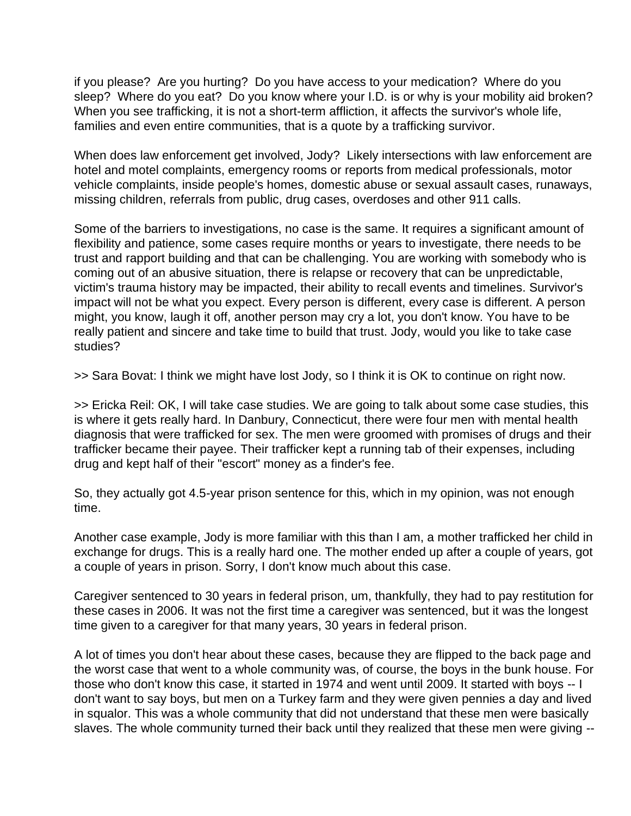if you please? Are you hurting? Do you have access to your medication? Where do you sleep? Where do you eat? Do you know where your I.D. is or why is your mobility aid broken? When you see trafficking, it is not a short-term affliction, it affects the survivor's whole life, families and even entire communities, that is a quote by a trafficking survivor.

When does law enforcement get involved, Jody? Likely intersections with law enforcement are hotel and motel complaints, emergency rooms or reports from medical professionals, motor vehicle complaints, inside people's homes, domestic abuse or sexual assault cases, runaways, missing children, referrals from public, drug cases, overdoses and other 911 calls.

Some of the barriers to investigations, no case is the same. It requires a significant amount of flexibility and patience, some cases require months or years to investigate, there needs to be trust and rapport building and that can be challenging. You are working with somebody who is coming out of an abusive situation, there is relapse or recovery that can be unpredictable, victim's trauma history may be impacted, their ability to recall events and timelines. Survivor's impact will not be what you expect. Every person is different, every case is different. A person might, you know, laugh it off, another person may cry a lot, you don't know. You have to be really patient and sincere and take time to build that trust. Jody, would you like to take case studies?

>> Sara Bovat: I think we might have lost Jody, so I think it is OK to continue on right now.

>> Ericka Reil: OK, I will take case studies. We are going to talk about some case studies, this is where it gets really hard. In Danbury, Connecticut, there were four men with mental health diagnosis that were trafficked for sex. The men were groomed with promises of drugs and their trafficker became their payee. Their trafficker kept a running tab of their expenses, including drug and kept half of their "escort" money as a finder's fee.

So, they actually got 4.5-year prison sentence for this, which in my opinion, was not enough time.

Another case example, Jody is more familiar with this than I am, a mother trafficked her child in exchange for drugs. This is a really hard one. The mother ended up after a couple of years, got a couple of years in prison. Sorry, I don't know much about this case.

Caregiver sentenced to 30 years in federal prison, um, thankfully, they had to pay restitution for these cases in 2006. It was not the first time a caregiver was sentenced, but it was the longest time given to a caregiver for that many years, 30 years in federal prison.

A lot of times you don't hear about these cases, because they are flipped to the back page and the worst case that went to a whole community was, of course, the boys in the bunk house. For those who don't know this case, it started in 1974 and went until 2009. It started with boys -- I don't want to say boys, but men on a Turkey farm and they were given pennies a day and lived in squalor. This was a whole community that did not understand that these men were basically slaves. The whole community turned their back until they realized that these men were giving --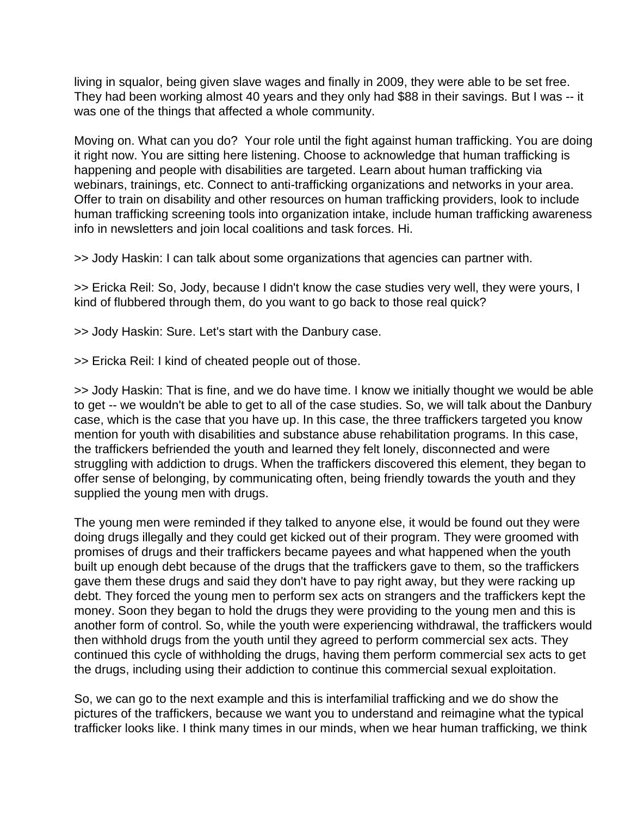living in squalor, being given slave wages and finally in 2009, they were able to be set free. They had been working almost 40 years and they only had \$88 in their savings. But I was -- it was one of the things that affected a whole community.

Moving on. What can you do? Your role until the fight against human trafficking. You are doing it right now. You are sitting here listening. Choose to acknowledge that human trafficking is happening and people with disabilities are targeted. Learn about human trafficking via webinars, trainings, etc. Connect to anti-trafficking organizations and networks in your area. Offer to train on disability and other resources on human trafficking providers, look to include human trafficking screening tools into organization intake, include human trafficking awareness info in newsletters and join local coalitions and task forces. Hi.

>> Jody Haskin: I can talk about some organizations that agencies can partner with.

>> Ericka Reil: So, Jody, because I didn't know the case studies very well, they were yours, I kind of flubbered through them, do you want to go back to those real quick?

>> Jody Haskin: Sure. Let's start with the Danbury case.

>> Ericka Reil: I kind of cheated people out of those.

>> Jody Haskin: That is fine, and we do have time. I know we initially thought we would be able to get -- we wouldn't be able to get to all of the case studies. So, we will talk about the Danbury case, which is the case that you have up. In this case, the three traffickers targeted you know mention for youth with disabilities and substance abuse rehabilitation programs. In this case, the traffickers befriended the youth and learned they felt lonely, disconnected and were struggling with addiction to drugs. When the traffickers discovered this element, they began to offer sense of belonging, by communicating often, being friendly towards the youth and they supplied the young men with drugs.

The young men were reminded if they talked to anyone else, it would be found out they were doing drugs illegally and they could get kicked out of their program. They were groomed with promises of drugs and their traffickers became payees and what happened when the youth built up enough debt because of the drugs that the traffickers gave to them, so the traffickers gave them these drugs and said they don't have to pay right away, but they were racking up debt. They forced the young men to perform sex acts on strangers and the traffickers kept the money. Soon they began to hold the drugs they were providing to the young men and this is another form of control. So, while the youth were experiencing withdrawal, the traffickers would then withhold drugs from the youth until they agreed to perform commercial sex acts. They continued this cycle of withholding the drugs, having them perform commercial sex acts to get the drugs, including using their addiction to continue this commercial sexual exploitation.

So, we can go to the next example and this is interfamilial trafficking and we do show the pictures of the traffickers, because we want you to understand and reimagine what the typical trafficker looks like. I think many times in our minds, when we hear human trafficking, we think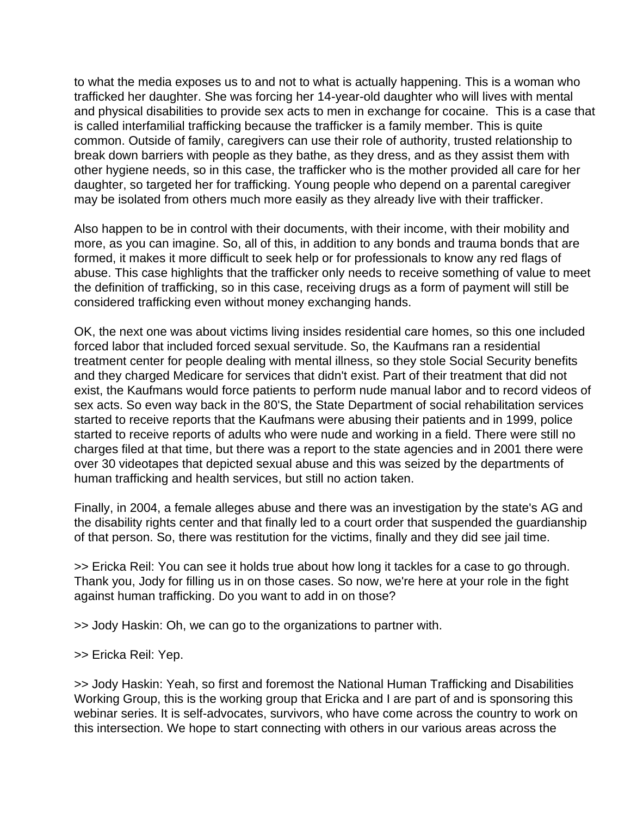to what the media exposes us to and not to what is actually happening. This is a woman who trafficked her daughter. She was forcing her 14-year-old daughter who will lives with mental and physical disabilities to provide sex acts to men in exchange for cocaine. This is a case that is called interfamilial trafficking because the trafficker is a family member. This is quite common. Outside of family, caregivers can use their role of authority, trusted relationship to break down barriers with people as they bathe, as they dress, and as they assist them with other hygiene needs, so in this case, the trafficker who is the mother provided all care for her daughter, so targeted her for trafficking. Young people who depend on a parental caregiver may be isolated from others much more easily as they already live with their trafficker.

Also happen to be in control with their documents, with their income, with their mobility and more, as you can imagine. So, all of this, in addition to any bonds and trauma bonds that are formed, it makes it more difficult to seek help or for professionals to know any red flags of abuse. This case highlights that the trafficker only needs to receive something of value to meet the definition of trafficking, so in this case, receiving drugs as a form of payment will still be considered trafficking even without money exchanging hands.

OK, the next one was about victims living insides residential care homes, so this one included forced labor that included forced sexual servitude. So, the Kaufmans ran a residential treatment center for people dealing with mental illness, so they stole Social Security benefits and they charged Medicare for services that didn't exist. Part of their treatment that did not exist, the Kaufmans would force patients to perform nude manual labor and to record videos of sex acts. So even way back in the 80'S, the State Department of social rehabilitation services started to receive reports that the Kaufmans were abusing their patients and in 1999, police started to receive reports of adults who were nude and working in a field. There were still no charges filed at that time, but there was a report to the state agencies and in 2001 there were over 30 videotapes that depicted sexual abuse and this was seized by the departments of human trafficking and health services, but still no action taken.

Finally, in 2004, a female alleges abuse and there was an investigation by the state's AG and the disability rights center and that finally led to a court order that suspended the guardianship of that person. So, there was restitution for the victims, finally and they did see jail time.

>> Ericka Reil: You can see it holds true about how long it tackles for a case to go through. Thank you, Jody for filling us in on those cases. So now, we're here at your role in the fight against human trafficking. Do you want to add in on those?

>> Jody Haskin: Oh, we can go to the organizations to partner with.

>> Ericka Reil: Yep.

>> Jody Haskin: Yeah, so first and foremost the National Human Trafficking and Disabilities Working Group, this is the working group that Ericka and I are part of and is sponsoring this webinar series. It is self-advocates, survivors, who have come across the country to work on this intersection. We hope to start connecting with others in our various areas across the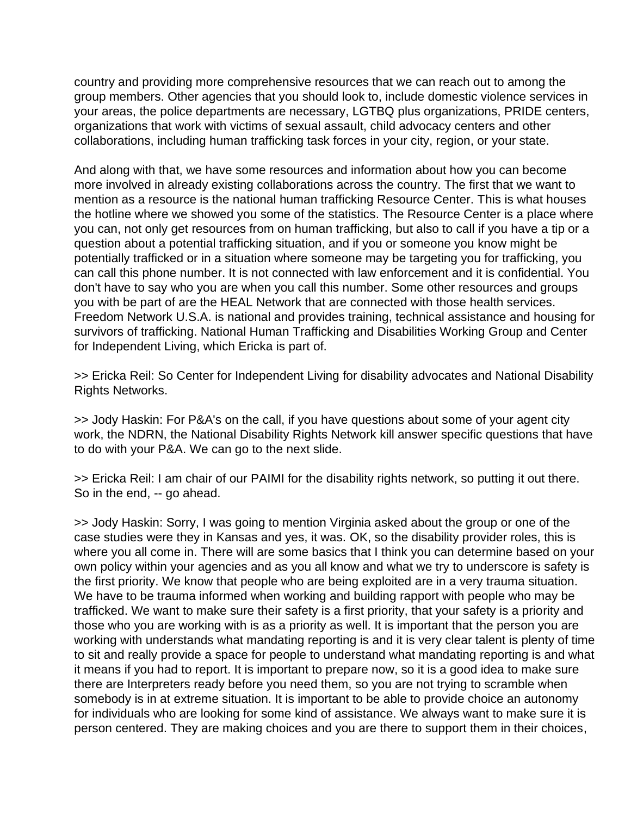country and providing more comprehensive resources that we can reach out to among the group members. Other agencies that you should look to, include domestic violence services in your areas, the police departments are necessary, LGTBQ plus organizations, PRIDE centers, organizations that work with victims of sexual assault, child advocacy centers and other collaborations, including human trafficking task forces in your city, region, or your state.

And along with that, we have some resources and information about how you can become more involved in already existing collaborations across the country. The first that we want to mention as a resource is the national human trafficking Resource Center. This is what houses the hotline where we showed you some of the statistics. The Resource Center is a place where you can, not only get resources from on human trafficking, but also to call if you have a tip or a question about a potential trafficking situation, and if you or someone you know might be potentially trafficked or in a situation where someone may be targeting you for trafficking, you can call this phone number. It is not connected with law enforcement and it is confidential. You don't have to say who you are when you call this number. Some other resources and groups you with be part of are the HEAL Network that are connected with those health services. Freedom Network U.S.A. is national and provides training, technical assistance and housing for survivors of trafficking. National Human Trafficking and Disabilities Working Group and Center for Independent Living, which Ericka is part of.

>> Ericka Reil: So Center for Independent Living for disability advocates and National Disability Rights Networks.

>> Jody Haskin: For P&A's on the call, if you have questions about some of your agent city work, the NDRN, the National Disability Rights Network kill answer specific questions that have to do with your P&A. We can go to the next slide.

>> Ericka Reil: I am chair of our PAIMI for the disability rights network, so putting it out there. So in the end, -- go ahead.

>> Jody Haskin: Sorry, I was going to mention Virginia asked about the group or one of the case studies were they in Kansas and yes, it was. OK, so the disability provider roles, this is where you all come in. There will are some basics that I think you can determine based on your own policy within your agencies and as you all know and what we try to underscore is safety is the first priority. We know that people who are being exploited are in a very trauma situation. We have to be trauma informed when working and building rapport with people who may be trafficked. We want to make sure their safety is a first priority, that your safety is a priority and those who you are working with is as a priority as well. It is important that the person you are working with understands what mandating reporting is and it is very clear talent is plenty of time to sit and really provide a space for people to understand what mandating reporting is and what it means if you had to report. It is important to prepare now, so it is a good idea to make sure there are Interpreters ready before you need them, so you are not trying to scramble when somebody is in at extreme situation. It is important to be able to provide choice an autonomy for individuals who are looking for some kind of assistance. We always want to make sure it is person centered. They are making choices and you are there to support them in their choices,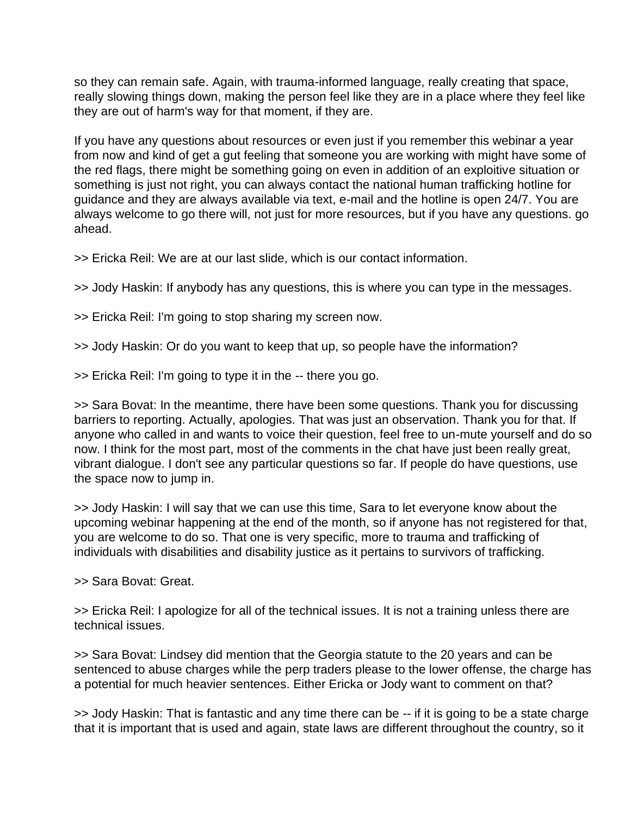so they can remain safe. Again, with trauma-informed language, really creating that space, really slowing things down, making the person feel like they are in a place where they feel like they are out of harm's way for that moment, if they are.

If you have any questions about resources or even just if you remember this webinar a year from now and kind of get a gut feeling that someone you are working with might have some of the red flags, there might be something going on even in addition of an exploitive situation or something is just not right, you can always contact the national human trafficking hotline for guidance and they are always available via text, e-mail and the hotline is open 24/7. You are always welcome to go there will, not just for more resources, but if you have any questions. go ahead.

>> Ericka Reil: We are at our last slide, which is our contact information.

>> Jody Haskin: If anybody has any questions, this is where you can type in the messages.

>> Ericka Reil: I'm going to stop sharing my screen now.

>> Jody Haskin: Or do you want to keep that up, so people have the information?

>> Ericka Reil: I'm going to type it in the -- there you go.

>> Sara Bovat: In the meantime, there have been some questions. Thank you for discussing barriers to reporting. Actually, apologies. That was just an observation. Thank you for that. If anyone who called in and wants to voice their question, feel free to un-mute yourself and do so now. I think for the most part, most of the comments in the chat have just been really great, vibrant dialogue. I don't see any particular questions so far. If people do have questions, use the space now to jump in.

>> Jody Haskin: I will say that we can use this time, Sara to let everyone know about the upcoming webinar happening at the end of the month, so if anyone has not registered for that, you are welcome to do so. That one is very specific, more to trauma and trafficking of individuals with disabilities and disability justice as it pertains to survivors of trafficking.

>> Sara Bovat: Great.

>> Ericka Reil: I apologize for all of the technical issues. It is not a training unless there are technical issues.

>> Sara Bovat: Lindsey did mention that the Georgia statute to the 20 years and can be sentenced to abuse charges while the perp traders please to the lower offense, the charge has a potential for much heavier sentences. Either Ericka or Jody want to comment on that?

>> Jody Haskin: That is fantastic and any time there can be -- if it is going to be a state charge that it is important that is used and again, state laws are different throughout the country, so it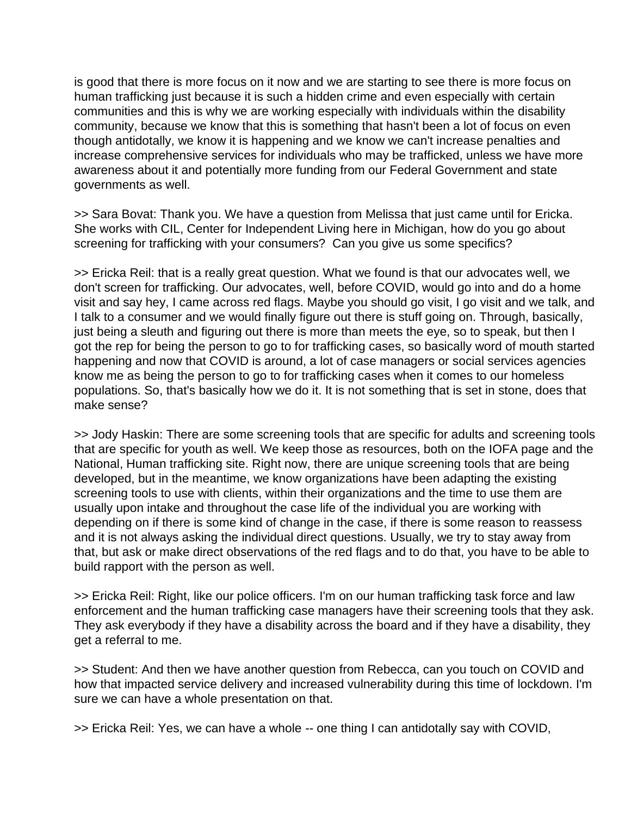is good that there is more focus on it now and we are starting to see there is more focus on human trafficking just because it is such a hidden crime and even especially with certain communities and this is why we are working especially with individuals within the disability community, because we know that this is something that hasn't been a lot of focus on even though antidotally, we know it is happening and we know we can't increase penalties and increase comprehensive services for individuals who may be trafficked, unless we have more awareness about it and potentially more funding from our Federal Government and state governments as well.

>> Sara Bovat: Thank you. We have a question from Melissa that just came until for Ericka. She works with CIL, Center for Independent Living here in Michigan, how do you go about screening for trafficking with your consumers? Can you give us some specifics?

>> Ericka Reil: that is a really great question. What we found is that our advocates well, we don't screen for trafficking. Our advocates, well, before COVID, would go into and do a home visit and say hey, I came across red flags. Maybe you should go visit, I go visit and we talk, and I talk to a consumer and we would finally figure out there is stuff going on. Through, basically, just being a sleuth and figuring out there is more than meets the eye, so to speak, but then I got the rep for being the person to go to for trafficking cases, so basically word of mouth started happening and now that COVID is around, a lot of case managers or social services agencies know me as being the person to go to for trafficking cases when it comes to our homeless populations. So, that's basically how we do it. It is not something that is set in stone, does that make sense?

>> Jody Haskin: There are some screening tools that are specific for adults and screening tools that are specific for youth as well. We keep those as resources, both on the IOFA page and the National, Human trafficking site. Right now, there are unique screening tools that are being developed, but in the meantime, we know organizations have been adapting the existing screening tools to use with clients, within their organizations and the time to use them are usually upon intake and throughout the case life of the individual you are working with depending on if there is some kind of change in the case, if there is some reason to reassess and it is not always asking the individual direct questions. Usually, we try to stay away from that, but ask or make direct observations of the red flags and to do that, you have to be able to build rapport with the person as well.

>> Ericka Reil: Right, like our police officers. I'm on our human trafficking task force and law enforcement and the human trafficking case managers have their screening tools that they ask. They ask everybody if they have a disability across the board and if they have a disability, they get a referral to me.

>> Student: And then we have another question from Rebecca, can you touch on COVID and how that impacted service delivery and increased vulnerability during this time of lockdown. I'm sure we can have a whole presentation on that.

>> Ericka Reil: Yes, we can have a whole -- one thing I can antidotally say with COVID,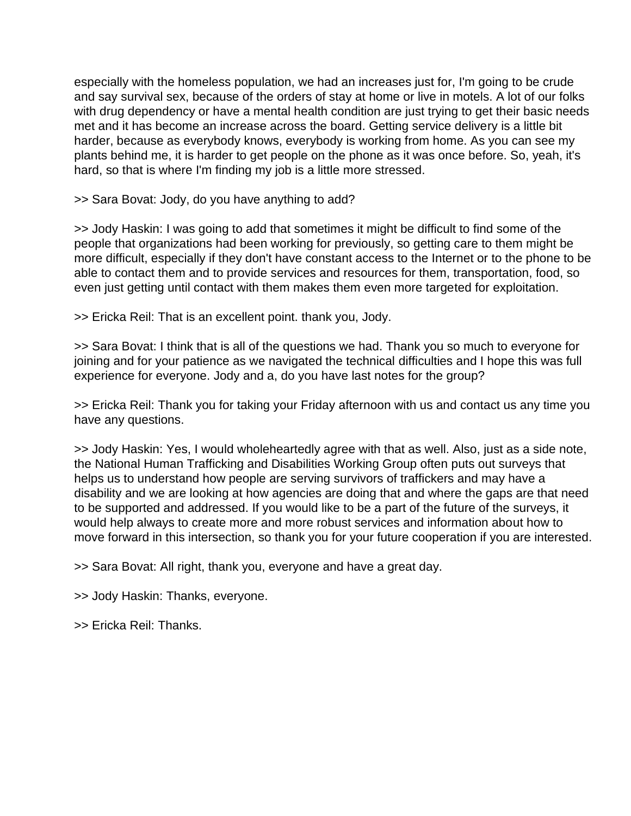especially with the homeless population, we had an increases just for, I'm going to be crude and say survival sex, because of the orders of stay at home or live in motels. A lot of our folks with drug dependency or have a mental health condition are just trying to get their basic needs met and it has become an increase across the board. Getting service delivery is a little bit harder, because as everybody knows, everybody is working from home. As you can see my plants behind me, it is harder to get people on the phone as it was once before. So, yeah, it's hard, so that is where I'm finding my job is a little more stressed.

>> Sara Bovat: Jody, do you have anything to add?

>> Jody Haskin: I was going to add that sometimes it might be difficult to find some of the people that organizations had been working for previously, so getting care to them might be more difficult, especially if they don't have constant access to the Internet or to the phone to be able to contact them and to provide services and resources for them, transportation, food, so even just getting until contact with them makes them even more targeted for exploitation.

>> Ericka Reil: That is an excellent point. thank you, Jody.

>> Sara Bovat: I think that is all of the questions we had. Thank you so much to everyone for joining and for your patience as we navigated the technical difficulties and I hope this was full experience for everyone. Jody and a, do you have last notes for the group?

>> Ericka Reil: Thank you for taking your Friday afternoon with us and contact us any time you have any questions.

>> Jody Haskin: Yes, I would wholeheartedly agree with that as well. Also, just as a side note, the National Human Trafficking and Disabilities Working Group often puts out surveys that helps us to understand how people are serving survivors of traffickers and may have a disability and we are looking at how agencies are doing that and where the gaps are that need to be supported and addressed. If you would like to be a part of the future of the surveys, it would help always to create more and more robust services and information about how to move forward in this intersection, so thank you for your future cooperation if you are interested.

>> Sara Bovat: All right, thank you, everyone and have a great day.

>> Jody Haskin: Thanks, everyone.

>> Ericka Reil: Thanks.